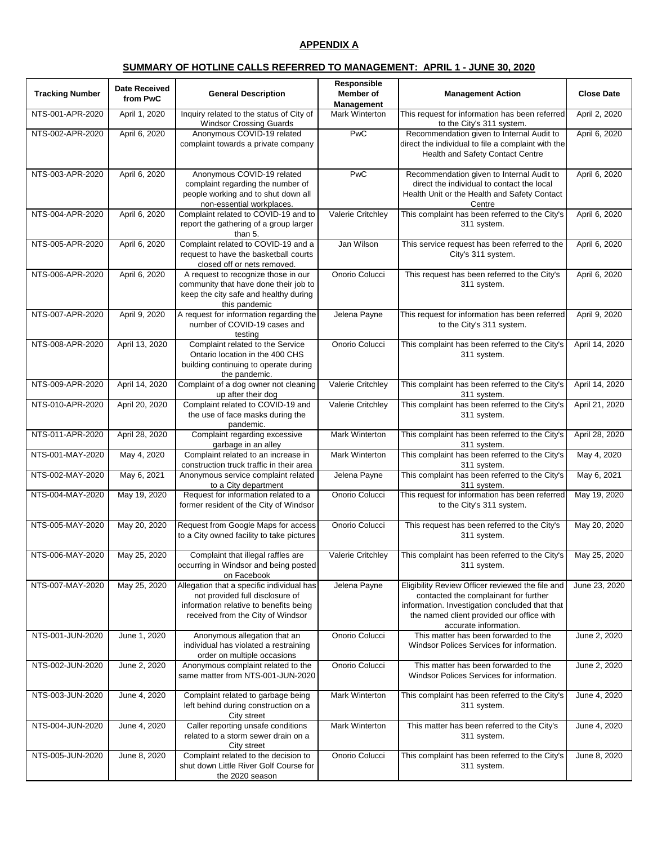# **APPENDIX A**

#### **SUMMARY OF HOTLINE CALLS REFERRED TO MANAGEMENT: APRIL 1 - JUNE 30, 2020**

| <b>Tracking Number</b> | <b>Date Received</b><br>from PwC | <b>General Description</b>                                                                                                                                  | Responsible<br><b>Member</b> of<br><b>Management</b> | <b>Management Action</b>                                                                                                                                                                                          | <b>Close Date</b> |
|------------------------|----------------------------------|-------------------------------------------------------------------------------------------------------------------------------------------------------------|------------------------------------------------------|-------------------------------------------------------------------------------------------------------------------------------------------------------------------------------------------------------------------|-------------------|
| NTS-001-APR-2020       | April 1, 2020                    | Inquiry related to the status of City of<br><b>Windsor Crossing Guards</b>                                                                                  | Mark Winterton                                       | This request for information has been referred<br>to the City's 311 system.                                                                                                                                       | April 2, 2020     |
| NTS-002-APR-2020       | April 6, 2020                    | Anonymous COVID-19 related<br>complaint towards a private company                                                                                           | PwC                                                  | Recommendation given to Internal Audit to<br>direct the individual to file a complaint with the<br>Health and Safety Contact Centre                                                                               | April 6, 2020     |
| NTS-003-APR-2020       | April 6, 2020                    | Anonymous COVID-19 related<br>complaint regarding the number of<br>people working and to shut down all<br>non-essential workplaces.                         | PwC                                                  | Recommendation given to Internal Audit to<br>direct the individual to contact the local<br>Health Unit or the Health and Safety Contact<br>Centre                                                                 | April 6, 2020     |
| NTS-004-APR-2020       | April 6, 2020                    | Complaint related to COVID-19 and to<br>report the gathering of a group larger<br>than 5.                                                                   | Valerie Critchley                                    | This complaint has been referred to the City's<br>311 system.                                                                                                                                                     | April 6, 2020     |
| NTS-005-APR-2020       | April 6, 2020                    | Complaint related to COVID-19 and a<br>request to have the basketball courts<br>closed off or nets removed.                                                 | Jan Wilson                                           | This service request has been referred to the<br>City's 311 system.                                                                                                                                               | April 6, 2020     |
| NTS-006-APR-2020       | April 6, 2020                    | A request to recognize those in our<br>community that have done their job to<br>keep the city safe and healthy during<br>this pandemic                      | Onorio Colucci                                       | This request has been referred to the City's<br>311 system.                                                                                                                                                       | April 6, 2020     |
| NTS-007-APR-2020       | April 9, 2020                    | A request for information regarding the<br>number of COVID-19 cases and<br>testing                                                                          | Jelena Payne                                         | This request for information has been referred<br>to the City's 311 system.                                                                                                                                       | April 9, 2020     |
| NTS-008-APR-2020       | April 13, 2020                   | Complaint related to the Service<br>Ontario location in the 400 CHS<br>building continuing to operate during<br>the pandemic.                               | Onorio Colucci                                       | This complaint has been referred to the City's<br>311 system.                                                                                                                                                     | April 14, 2020    |
| NTS-009-APR-2020       | April 14, 2020                   | Complaint of a dog owner not cleaning<br>up after their dog                                                                                                 | Valerie Critchley                                    | This complaint has been referred to the City's<br>311 system.                                                                                                                                                     | April 14, 2020    |
| NTS-010-APR-2020       | April 20, 2020                   | Complaint related to COVID-19 and<br>the use of face masks during the<br>pandemic.                                                                          | Valerie Critchley                                    | This complaint has been referred to the City's<br>311 system.                                                                                                                                                     | April 21, 2020    |
| NTS-011-APR-2020       | April 28, 2020                   | Complaint regarding excessive<br>garbage in an alley                                                                                                        | Mark Winterton                                       | This complaint has been referred to the City's<br>311 system.                                                                                                                                                     | April 28, 2020    |
| NTS-001-MAY-2020       | May 4, 2020                      | Complaint related to an increase in<br>construction truck traffic in their area                                                                             | Mark Winterton                                       | This complaint has been referred to the City's<br>311 system.                                                                                                                                                     | May 4, 2020       |
| NTS-002-MAY-2020       | May 6, 2021                      | Anonymous service complaint related<br>to a City department                                                                                                 | Jelena Payne                                         | This complaint has been referred to the City's<br>311 system.                                                                                                                                                     | May 6, 2021       |
| NTS-004-MAY-2020       | May 19, 2020                     | Request for information related to a<br>former resident of the City of Windsor                                                                              | Onorio Colucci                                       | This request for information has been referred<br>to the City's 311 system.                                                                                                                                       | May 19, 2020      |
| NTS-005-MAY-2020       | May 20, 2020                     | Request from Google Maps for access<br>to a City owned facility to take pictures                                                                            | Onorio Colucci                                       | This request has been referred to the City's<br>311 system.                                                                                                                                                       | May 20, 2020      |
| NTS-006-MAY-2020       | May 25, 2020                     | Complaint that illegal raffles are<br>occurring in Windsor and being posted<br>on Facebook                                                                  | Valerie Critchley                                    | This complaint has been referred to the City's<br>311 system.                                                                                                                                                     | May 25, 2020      |
| NTS-007-MAY-2020       | May 25, 2020                     | Allegation that a specific individual has<br>not provided full disclosure of<br>information relative to benefits being<br>received from the City of Windsor | Jelena Payne                                         | Eligibility Review Officer reviewed the file and<br>contacted the complainant for further<br>information. Investigation concluded that that<br>the named client provided our office with<br>accurate information. | June 23, 2020     |
| NTS-001-JUN-2020       | June 1, 2020                     | Anonymous allegation that an<br>individual has violated a restraining<br>order on multiple occasions                                                        | Onorio Colucci                                       | This matter has been forwarded to the<br>Windsor Polices Services for information.                                                                                                                                | June 2, 2020      |
| NTS-002-JUN-2020       | June 2, 2020                     | Anonymous complaint related to the<br>same matter from NTS-001-JUN-2020                                                                                     | Onorio Colucci                                       | This matter has been forwarded to the<br>Windsor Polices Services for information.                                                                                                                                | June 2, 2020      |
| NTS-003-JUN-2020       | June 4, 2020                     | Complaint related to garbage being<br>left behind during construction on a<br>City street                                                                   | Mark Winterton                                       | This complaint has been referred to the City's<br>311 system.                                                                                                                                                     | June 4, 2020      |
| NTS-004-JUN-2020       | June 4, 2020                     | Caller reporting unsafe conditions<br>related to a storm sewer drain on a<br>City street                                                                    | Mark Winterton                                       | This matter has been referred to the City's<br>311 system.                                                                                                                                                        | June 4, 2020      |
| NTS-005-JUN-2020       | June 8, 2020                     | Complaint related to the decision to<br>shut down Little River Golf Course for<br>the 2020 season                                                           | Onorio Colucci                                       | This complaint has been referred to the City's<br>311 system.                                                                                                                                                     | June 8, 2020      |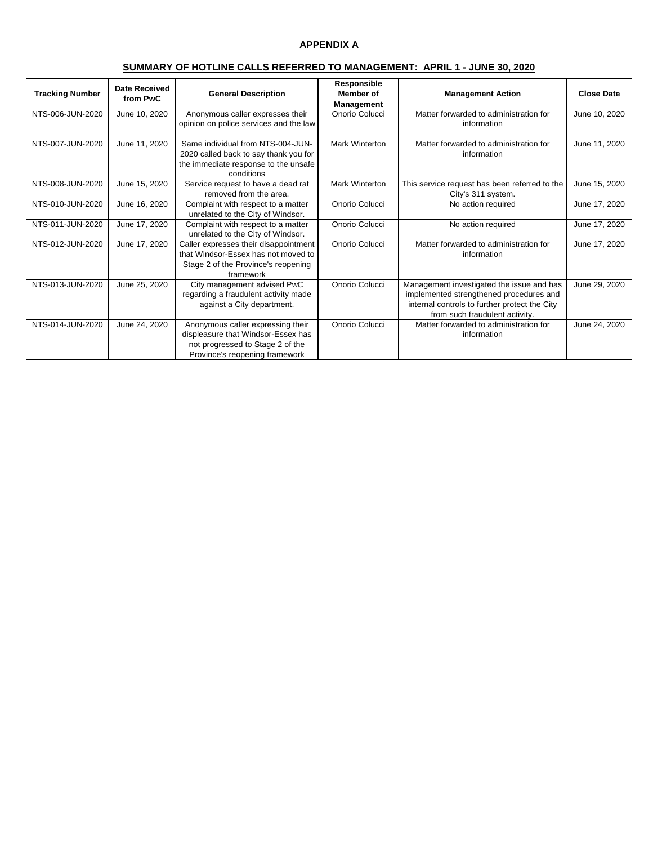# **APPENDIX A**

# **SUMMARY OF HOTLINE CALLS REFERRED TO MANAGEMENT: APRIL 1 - JUNE 30, 2020**

| <b>Tracking Number</b> | Date Received<br>from PwC | <b>General Description</b>                                                                                                                    | Responsible<br><b>Member</b> of<br><b>Management</b> | <b>Management Action</b>                                                                                                                                                | <b>Close Date</b> |
|------------------------|---------------------------|-----------------------------------------------------------------------------------------------------------------------------------------------|------------------------------------------------------|-------------------------------------------------------------------------------------------------------------------------------------------------------------------------|-------------------|
| NTS-006-JUN-2020       | June 10, 2020             | Anonymous caller expresses their<br>opinion on police services and the law                                                                    | Onorio Colucci                                       | Matter forwarded to administration for<br>information                                                                                                                   | June 10, 2020     |
| NTS-007-JUN-2020       | June 11, 2020             | Same individual from NTS-004-JUN-<br>2020 called back to say thank you for<br>the immediate response to the unsafe<br>conditions              | Mark Winterton                                       | Matter forwarded to administration for<br>information                                                                                                                   | June 11, 2020     |
| NTS-008-JUN-2020       | June 15, 2020             | Service request to have a dead rat<br>removed from the area.                                                                                  | <b>Mark Winterton</b>                                | This service request has been referred to the<br>City's 311 system.                                                                                                     | June 15, 2020     |
| NTS-010-JUN-2020       | June 16, 2020             | Complaint with respect to a matter<br>unrelated to the City of Windsor.                                                                       | Onorio Colucci                                       | No action required                                                                                                                                                      | June 17, 2020     |
| NTS-011-JUN-2020       | June 17, 2020             | Complaint with respect to a matter<br>unrelated to the City of Windsor.                                                                       | Onorio Colucci                                       | No action required                                                                                                                                                      | June 17, 2020     |
| NTS-012-JUN-2020       | June 17, 2020             | Caller expresses their disappointment<br>that Windsor-Essex has not moved to<br>Stage 2 of the Province's reopening<br>framework              | Onorio Colucci                                       | Matter forwarded to administration for<br>information                                                                                                                   | June 17, 2020     |
| NTS-013-JUN-2020       | June 25, 2020             | City management advised PwC<br>regarding a fraudulent activity made<br>against a City department.                                             | Onorio Colucci                                       | Management investigated the issue and has<br>implemented strengthened procedures and<br>internal controls to further protect the City<br>from such fraudulent activity. | June 29, 2020     |
| NTS-014-JUN-2020       | June 24, 2020             | Anonymous caller expressing their<br>displeasure that Windsor-Essex has<br>not progressed to Stage 2 of the<br>Province's reopening framework | Onorio Colucci                                       | Matter forwarded to administration for<br>information                                                                                                                   | June 24, 2020     |